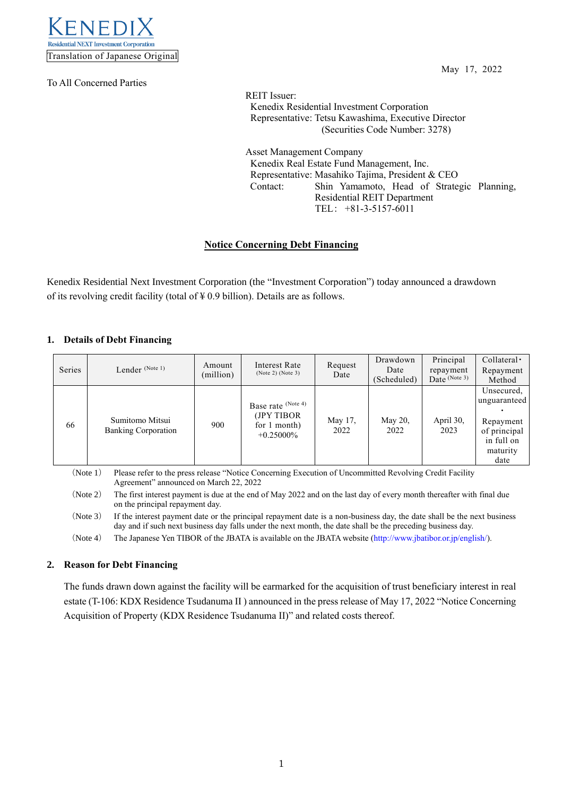

To All Concerned Parties

May 17, 2022

REIT Issuer: Kenedix Residential Investment Corporation Representative: Tetsu Kawashima, Executive Director (Securities Code Number: 3278)

Asset Management Company Kenedix Real Estate Fund Management, Inc. Representative: Masahiko Tajima, President & CEO Contact: Shin Yamamoto, Head of Strategic Planning, Residential REIT Department TEL: +81-3-5157-6011

# **Notice Concerning Debt Financing**

Kenedix Residential Next Investment Corporation (the "Investment Corporation") today announced a drawdown of its revolving credit facility (total of  $\yen$  0.9 billion). Details are as follows.

### **1. Details of Debt Financing**

| Series | Lender (Note 1)                                                                                                                                                                                                                                                                                    | Amount<br>(million) | Interest Rate<br>(Note 2) (Note 3)                                | Request<br>Date | Drawdown<br>Date<br>(Scheduled) | Principal<br>repayment<br>Date $(Note 3)$ | $Collateral \cdot$<br>Repayment<br>Method                                                 |
|--------|----------------------------------------------------------------------------------------------------------------------------------------------------------------------------------------------------------------------------------------------------------------------------------------------------|---------------------|-------------------------------------------------------------------|-----------------|---------------------------------|-------------------------------------------|-------------------------------------------------------------------------------------------|
| 66     | Sumitomo Mitsui<br><b>Banking Corporation</b>                                                                                                                                                                                                                                                      | 900                 | Base rate (Note 4)<br>(JPY TIBOR)<br>for 1 month)<br>$+0.25000\%$ | May 17,<br>2022 | May 20,<br>2022                 | April 30,<br>2023                         | Unsecured,<br>unguaranteed<br>Repayment<br>of principal<br>in full on<br>maturity<br>date |
|        | (Note 1)<br>Please refer to the press release "Notice Concerning Execution of Uncommitted Revolving Credit Facility<br>Agreement" announced on March 22, 2022<br>(Note 2)<br>The first interest nayment is due at the end of May 2022 and on the last day of every month thereafter with final due |                     |                                                                   |                 |                                 |                                           |                                                                                           |

(Note 2) The first interest payment is due at the end of May 2022 and on the last day of every month thereafter with final due on the principal repayment day.

(Note 3) If the interest payment date or the principal repayment date is a non-business day, the date shall be the next business day and if such next business day falls under the next month, the date shall be the preceding business day.

(Note 4) The Japanese Yen TIBOR of the JBATA is available on the JBATA website [\(http://www.jbatibor.or.jp/english/\)](http://www.jbatibor.or.jp/english/).

# **2. Reason for Debt Financing**

The funds drawn down against the facility will be earmarked for the acquisition of trust beneficiary interest in real estate (T-106: KDX Residence Tsudanuma II ) announced in the press release of May 17, 2022 "Notice Concerning Acquisition of Property (KDX Residence Tsudanuma II)" and related costs thereof.